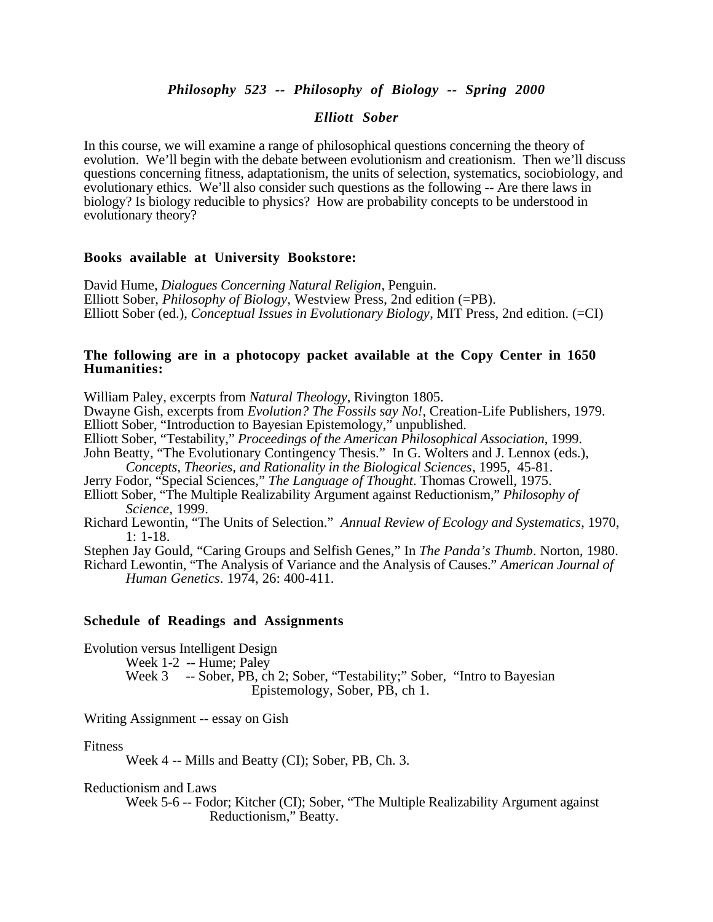# *Philosophy 523 -- Philosophy of Biology -- Spring 2000*

## *Elliott Sober*

In this course, we will examine a range of philosophical questions concerning the theory of evolution. We'll begin with the debate between evolutionism and creationism. Then we'll discuss questions concerning fitness, adaptationism, the units of selection, systematics, sociobiology, and evolutionary ethics. We'll also consider such questions as the following -- Are there laws in biology? Is biology reducible to physics? How are probability concepts to be understood in evolutionary theory?

#### **Books available at University Bookstore:**

David Hume, *Dialogues Concerning Natural Religion*, Penguin. Elliott Sober, *Philosophy of Biology*, Westview Press, 2nd edition (=PB). Elliott Sober (ed.), *Conceptual Issues in Evolutionary Biology*, MIT Press, 2nd edition. (=CI)

## **The following are in a photocopy packet available at the Copy Center in 1650 Humanities:**

William Paley, excerpts from *Natural Theology*, Rivington 1805.

Dwayne Gish, excerpts from *Evolution? The Fossils say No!*, Creation-Life Publishers, 1979. Elliott Sober, "Introduction to Bayesian Epistemology," unpublished.

Elliott Sober, "Testability," *Proceedings of the American Philosophical Association*, 1999.

John Beatty, "The Evolutionary Contingency Thesis." In G. Wolters and J. Lennox (eds.), *Concepts, Theories, and Rationality in the Biological Sciences*, 1995, 45-81.

Jerry Fodor, "Special Sciences," *The Language of Thought*. Thomas Crowell, 1975.

Elliott Sober, "The Multiple Realizability Argument against Reductionism," *Philosophy of Science*, 1999.

Richard Lewontin, "The Units of Selection." *Annual Review of Ecology and Systematics*, 1970, 1: 1-18.

Stephen Jay Gould, "Caring Groups and Selfish Genes," In *The Panda's Thumb*. Norton, 1980.

Richard Lewontin, "The Analysis of Variance and the Analysis of Causes." *American Journal of Human Genetics*. 1974, 26: 400-411.

## **Schedule of Readings and Assignments**

Evolution versus Intelligent Design

Week 1-2 -- Hume; Paley

Week 3 -- Sober, PB, ch 2; Sober, "Testability;" Sober, "Intro to Bayesian Epistemology, Sober, PB, ch 1.

Writing Assignment -- essay on Gish

Fitness

Week 4 -- Mills and Beatty (CI); Sober, PB, Ch. 3.

Reductionism and Laws

Week 5-6 -- Fodor; Kitcher (CI); Sober, "The Multiple Realizability Argument against Reductionism," Beatty.